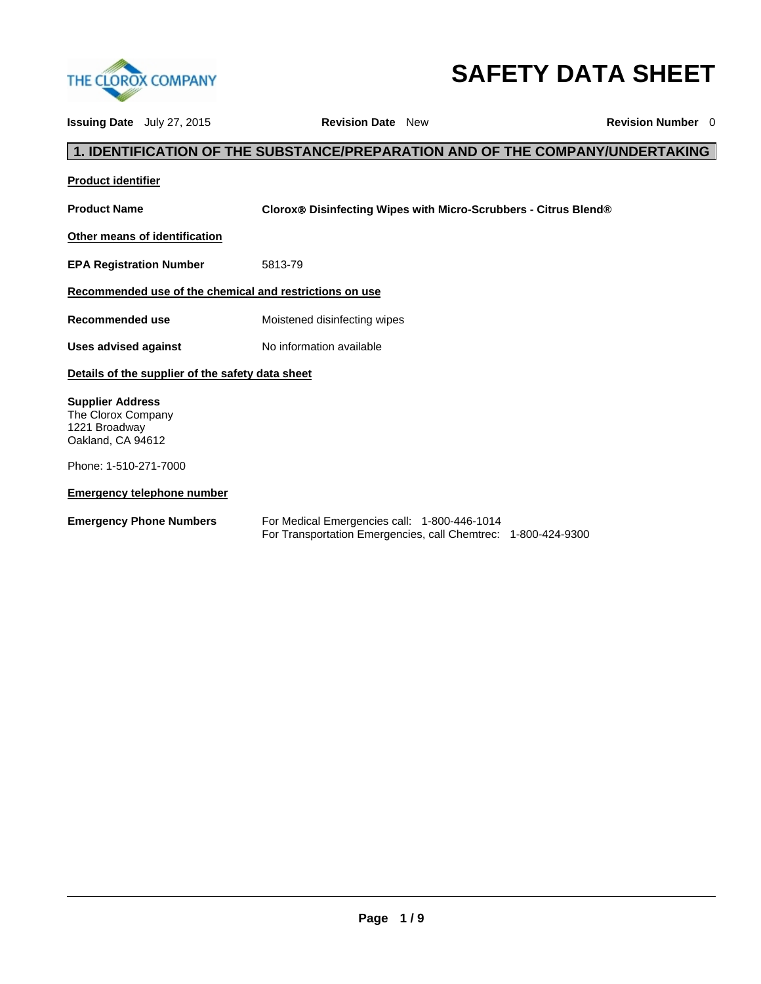

# **SAFETY DATA SHEET**

**Issuing Date** July 27, 2015 **Revision Date** New **Revision Number** 0 **1. IDENTIFICATION OF THE SUBSTANCE/PREPARATION AND OF THE COMPANY/UNDERTAKING Product identifier Product Name Clorox<sup>®</sup> Disinfecting Wipes with Micro-Scrubbers - Citrus Blend<sup>®</sup> Other means of identification EPA Registration Number** 5813-79 **Recommended use of the chemical and restrictions on use Recommended use** Moistened disinfecting wipes Uses advised against **No information available Details of the supplier of the safety data sheet Supplier Address**  The Clorox Company 1221 Broadway Oakland, CA 94612 Phone: 1-510-271-7000 **Emergency telephone number Emergency Phone Numbers** For Medical Emergencies call: 1-800-446-1014 For Transportation Emergencies, call Chemtrec: 1-800-424-9300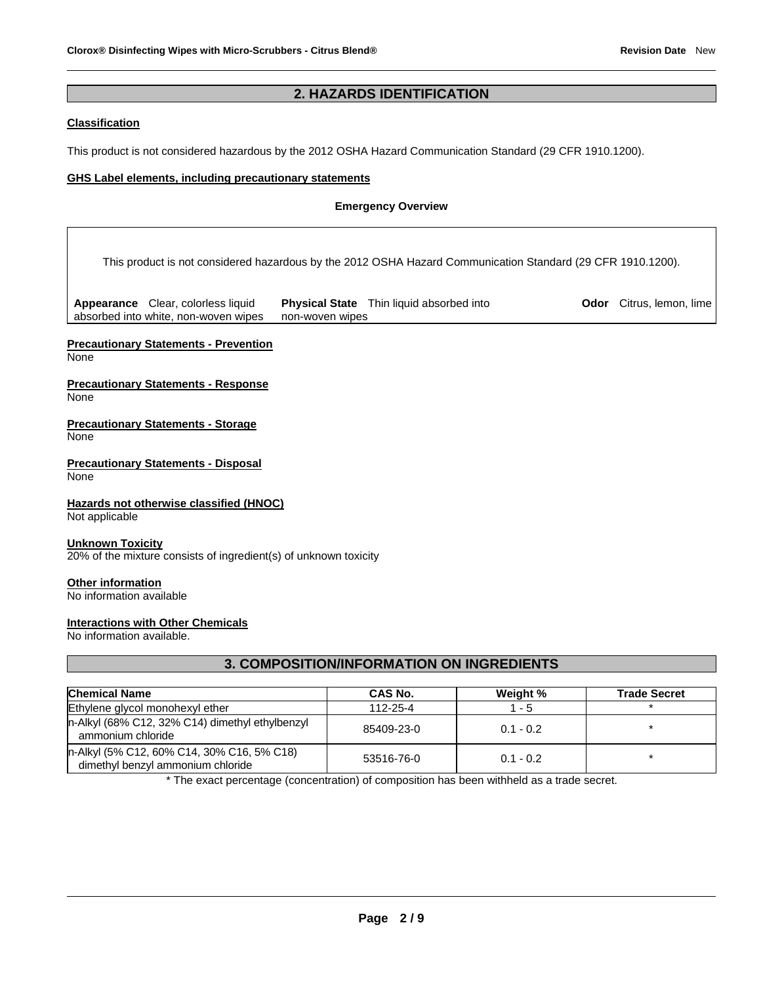# **2. HAZARDS IDENTIFICATION**

## **Classification**

This product is not considered hazardous by the 2012 OSHA Hazard Communication Standard (29 CFR 1910.1200).

## **GHS Label elements, including precautionary statements**

## **Emergency Overview**

This product is not considered hazardous by the 2012 OSHA Hazard Communication Standard (29 CFR 1910.1200).

**Appearance** Clear, colorless liquid absorbed into white, non-woven wipes **Physical State** Thin liquid absorbed into non-woven wipes

**Odor** Citrus, lemon, lime

# **Precautionary Statements - Prevention**

None

#### **Precautionary Statements - Response**  None

**Precautionary Statements - Storage**  None

## **Precautionary Statements - Disposal**  None

**Hazards not otherwise classified (HNOC)**  Not applicable

## **Unknown Toxicity**

20% of the mixture consists of ingredient(s) of unknown toxicity

## **Other information**

No information available

## **Interactions with Other Chemicals**

No information available.

# **3. COMPOSITION/INFORMATION ON INGREDIENTS**

| <b>Chemical Name</b>                                                            | CAS No.    | Weight %    | <b>Trade Secret</b> |
|---------------------------------------------------------------------------------|------------|-------------|---------------------|
| Ethylene glycol monohexyl ether                                                 | 112-25-4   | $1 - 5$     |                     |
| n-Alkyl (68% C12, 32% C14) dimethyl ethylbenzyl<br>ammonium chloride            | 85409-23-0 | $0.1 - 0.2$ |                     |
| n-Alkyl (5% C12, 60% C14, 30% C16, 5% C18)<br>dimethyl benzyl ammonium chloride | 53516-76-0 | $0.1 - 0.2$ |                     |

\* The exact percentage (concentration) of composition has been withheld as a trade secret.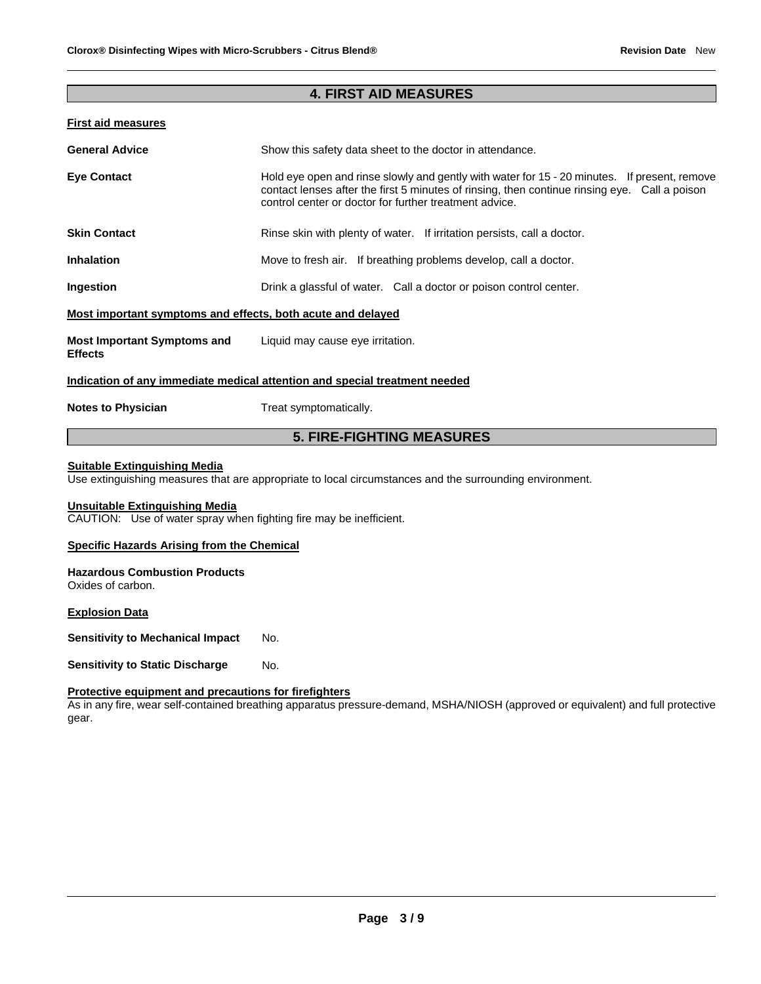# **4. FIRST AID MEASURES**

## **First aid measures**

| <b>General Advice</b>                                       | Show this safety data sheet to the doctor in attendance.                                                                                                                                                                                                |  |
|-------------------------------------------------------------|---------------------------------------------------------------------------------------------------------------------------------------------------------------------------------------------------------------------------------------------------------|--|
| <b>Eye Contact</b>                                          | Hold eye open and rinse slowly and gently with water for 15 - 20 minutes. If present, remove<br>contact lenses after the first 5 minutes of rinsing, then continue rinsing eye. Call a poison<br>control center or doctor for further treatment advice. |  |
| <b>Skin Contact</b>                                         | Rinse skin with plenty of water. If irritation persists, call a doctor.                                                                                                                                                                                 |  |
| <b>Inhalation</b>                                           | Move to fresh air. If breathing problems develop, call a doctor.                                                                                                                                                                                        |  |
| Ingestion                                                   | Drink a glassful of water. Call a doctor or poison control center.                                                                                                                                                                                      |  |
| Most important symptoms and effects, both acute and delayed |                                                                                                                                                                                                                                                         |  |
| <b>Most Important Symptoms and</b><br><b>Effects</b>        | Liquid may cause eye irritation.                                                                                                                                                                                                                        |  |
|                                                             | Indication of any immediate medical attention and special treatment needed                                                                                                                                                                              |  |
| <b>Notes to Physician</b>                                   | Treat symptomatically.                                                                                                                                                                                                                                  |  |

# **5. FIRE-FIGHTING MEASURES**

# **Suitable Extinguishing Media**

Use extinguishing measures that are appropriate to local circumstances and the surrounding environment.

## **Unsuitable Extinguishing Media**

CAUTION: Use of water spray when fighting fire may be inefficient.

## **Specific Hazards Arising from the Chemical**

#### **Hazardous Combustion Products**  Oxides of carbon.

## **Explosion Data**

**Sensitivity to Mechanical Impact No.** 

**Sensitivity to Static Discharge Mo.** 

## **Protective equipment and precautions for firefighters**

As in any fire, wear self-contained breathing apparatus pressure-demand, MSHA/NIOSH (approved or equivalent) and full protective gear.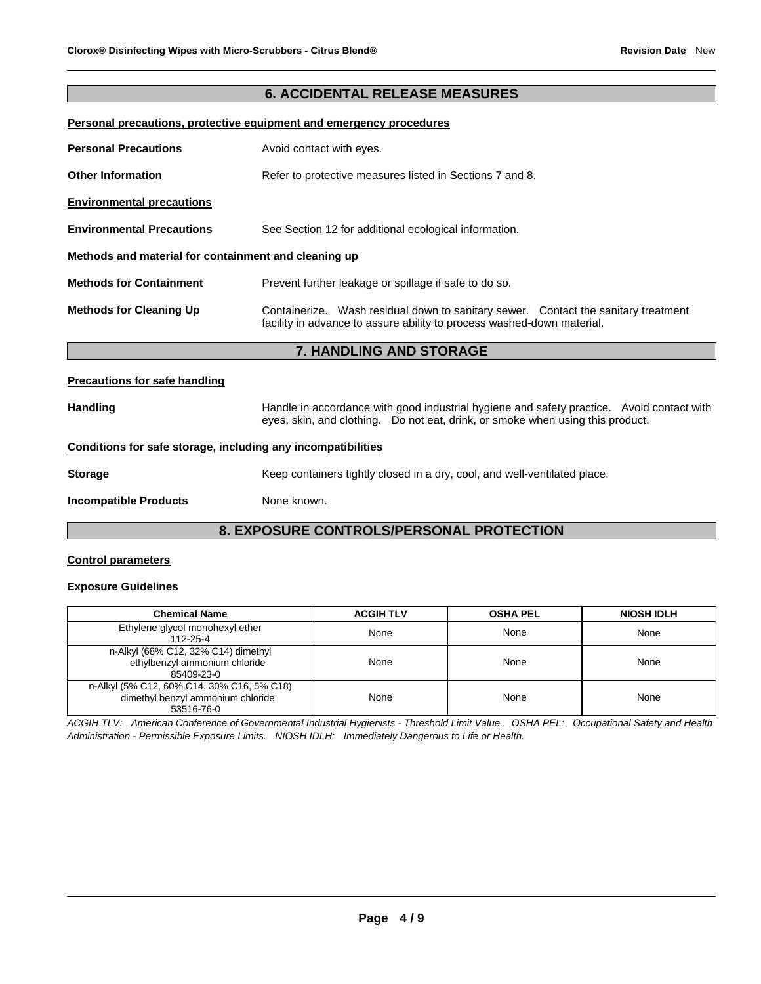# **6. ACCIDENTAL RELEASE MEASURES**

#### **Personal precautions, protective equipment and emergency procedures**

| <b>Personal Precautions</b>                          | Avoid contact with eyes.                                                                                                                                     |  |
|------------------------------------------------------|--------------------------------------------------------------------------------------------------------------------------------------------------------------|--|
| <b>Other Information</b>                             | Refer to protective measures listed in Sections 7 and 8.                                                                                                     |  |
| <b>Environmental precautions</b>                     |                                                                                                                                                              |  |
| <b>Environmental Precautions</b>                     | See Section 12 for additional ecological information.                                                                                                        |  |
| Methods and material for containment and cleaning up |                                                                                                                                                              |  |
| <b>Methods for Containment</b>                       | Prevent further leakage or spillage if safe to do so.                                                                                                        |  |
| <b>Methods for Cleaning Up</b>                       | Containerize. Wash residual down to sanitary sewer. Contact the sanitary treatment<br>facility in advance to assure ability to process washed-down material. |  |
|                                                      | 7. HANDLING AND STORAGE                                                                                                                                      |  |
| <b>Precautions for safe handling</b>                 |                                                                                                                                                              |  |

Handling **Handle in accordance with good industrial hygiene and safety practice. Avoid contact with** eyes, skin, and clothing. Do not eat, drink, or smoke when using this product.

## **Conditions for safe storage, including any incompatibilities**

| Storage | Keep containers tightly closed in a dry, cool, and well-ventilated place. |
|---------|---------------------------------------------------------------------------|

**Incompatible Products** None known.

# **8. EXPOSURE CONTROLS/PERSONAL PROTECTION**

## **Control parameters**

## **Exposure Guidelines**

| <b>Chemical Name</b>                                                                          | <b>ACGIH TLV</b> | <b>OSHA PEL</b> | <b>NIOSH IDLH</b> |
|-----------------------------------------------------------------------------------------------|------------------|-----------------|-------------------|
| Ethylene glycol monohexyl ether<br>112-25-4                                                   | None             | None            | None              |
| n-Alkyl (68% C12, 32% C14) dimethyl<br>ethylbenzyl ammonium chloride<br>85409-23-0            | None             | None            | None              |
| n-Alkyl (5% C12, 60% C14, 30% C16, 5% C18)<br>dimethyl benzyl ammonium chloride<br>53516-76-0 | None             | None            | None              |

*ACGIH TLV: American Conference of Governmental Industrial Hygienists - Threshold Limit Value. OSHA PEL: Occupational Safety and Health Administration - Permissible Exposure Limits. NIOSH IDLH: Immediately Dangerous to Life or Health.*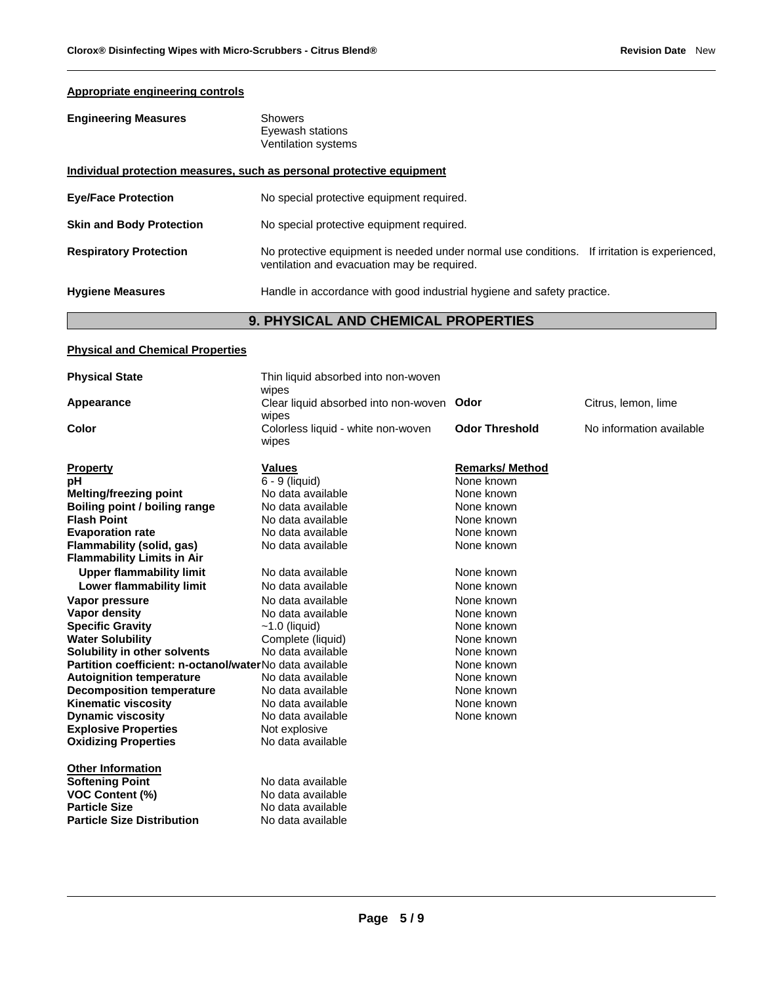# **Appropriate engineering controls**

| <b>Engineering Measures</b>     | <b>Showers</b><br>Eyewash stations<br><b>Ventilation systems</b>                                                                               |
|---------------------------------|------------------------------------------------------------------------------------------------------------------------------------------------|
|                                 | Individual protection measures, such as personal protective equipment                                                                          |
| <b>Eye/Face Protection</b>      | No special protective equipment required.                                                                                                      |
| <b>Skin and Body Protection</b> | No special protective equipment required.                                                                                                      |
| <b>Respiratory Protection</b>   | No protective equipment is needed under normal use conditions.<br>If irritation is experienced,<br>ventilation and evacuation may be required. |
| <b>Hygiene Measures</b>         | Handle in accordance with good industrial hygiene and safety practice.                                                                         |

# **9. PHYSICAL AND CHEMICAL PROPERTIES**

# **Physical and Chemical Properties**

| <b>Physical State</b>                                   | Thin liquid absorbed into non-woven<br>wipes       |                        |                          |
|---------------------------------------------------------|----------------------------------------------------|------------------------|--------------------------|
| Appearance                                              | Clear liquid absorbed into non-woven Odor<br>wipes |                        | Citrus, lemon, lime      |
| Color                                                   | Colorless liquid - white non-woven<br>wipes        | <b>Odor Threshold</b>  | No information available |
| <b>Property</b>                                         | <b>Values</b>                                      | <b>Remarks/ Method</b> |                          |
| рH                                                      | 6 - 9 (liquid)                                     | None known             |                          |
| Melting/freezing point                                  | No data available                                  | None known             |                          |
| Boiling point / boiling range                           | No data available                                  | None known             |                          |
| <b>Flash Point</b>                                      | No data available                                  | None known             |                          |
| <b>Evaporation rate</b>                                 | No data available                                  | None known             |                          |
| Flammability (solid, gas)                               | No data available                                  | None known             |                          |
| <b>Flammability Limits in Air</b>                       |                                                    |                        |                          |
| <b>Upper flammability limit</b>                         | No data available                                  | None known             |                          |
| Lower flammability limit                                | No data available                                  | None known             |                          |
| Vapor pressure                                          | No data available                                  | None known             |                          |
| <b>Vapor density</b>                                    | No data available                                  | None known             |                          |
| <b>Specific Gravity</b>                                 | $~1.0$ (liquid)                                    | None known             |                          |
| <b>Water Solubility</b>                                 | Complete (liquid)                                  | None known             |                          |
| Solubility in other solvents                            | No data available                                  | None known             |                          |
| Partition coefficient: n-octanol/waterNo data available |                                                    | None known             |                          |
| <b>Autoignition temperature</b>                         | No data available                                  | None known             |                          |
| <b>Decomposition temperature</b>                        | No data available                                  | None known             |                          |
| <b>Kinematic viscosity</b>                              | No data available                                  | None known             |                          |
| <b>Dynamic viscosity</b>                                | No data available                                  | None known             |                          |
| <b>Explosive Properties</b>                             | Not explosive                                      |                        |                          |
| <b>Oxidizing Properties</b>                             | No data available                                  |                        |                          |
| <b>Other Information</b>                                |                                                    |                        |                          |
| <b>Softening Point</b>                                  | No data available                                  |                        |                          |
| <b>VOC Content (%)</b>                                  | No data available                                  |                        |                          |
| <b>Particle Size</b>                                    | No data available                                  |                        |                          |
| <b>Particle Size Distribution</b>                       | No data available                                  |                        |                          |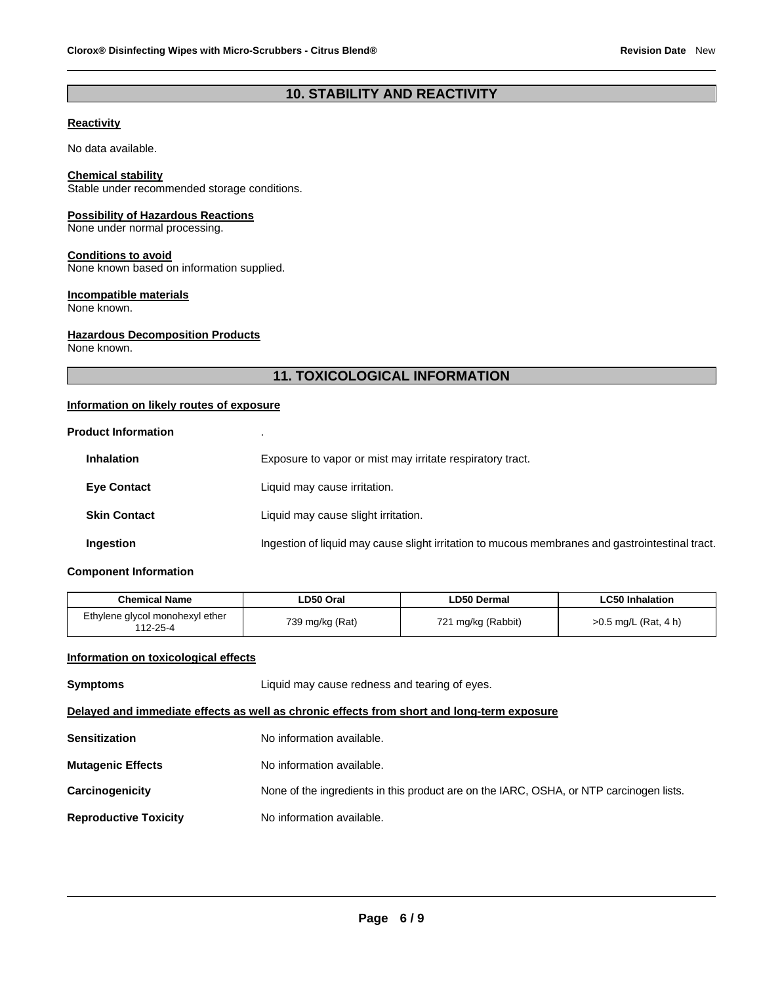# **10. STABILITY AND REACTIVITY**

# **Reactivity**

No data available.

#### **Chemical stability**

Stable under recommended storage conditions.

## **Possibility of Hazardous Reactions**

None under normal processing.

#### **Conditions to avoid**

None known based on information supplied.

#### **Incompatible materials**

None known.

## **Hazardous Decomposition Products**

None known.

# **11. TOXICOLOGICAL INFORMATION**

## **Information on likely routes of exposure**

| <b>Product Information</b> | $\blacksquare$                                                                                  |
|----------------------------|-------------------------------------------------------------------------------------------------|
| <b>Inhalation</b>          | Exposure to vapor or mist may irritate respiratory tract.                                       |
| <b>Eve Contact</b>         | Liquid may cause irritation.                                                                    |
| <b>Skin Contact</b>        | Liquid may cause slight irritation.                                                             |
| Ingestion                  | Ingestion of liquid may cause slight irritation to mucous membranes and gastrointestinal tract. |

## **Component Information**

| <b>Chemical Name</b>                        | ∟D50 Oral       | <b>LD50 Dermal</b> | <b>LC50 Inhalation</b> |
|---------------------------------------------|-----------------|--------------------|------------------------|
| Ethylene glycol monohexyl ether<br>112-25-4 | 739 mg/kg (Rat) | 721 mg/kg (Rabbit) | >0.5 mg/L (Rat, 4 h)   |

## **Information on toxicological effects**

| <b>Symptoms</b>                                                                            | Liquid may cause redness and tearing of eyes.                                           |  |
|--------------------------------------------------------------------------------------------|-----------------------------------------------------------------------------------------|--|
| Delayed and immediate effects as well as chronic effects from short and long-term exposure |                                                                                         |  |
| <b>Sensitization</b>                                                                       | No information available.                                                               |  |
| <b>Mutagenic Effects</b>                                                                   | No information available.                                                               |  |
| Carcinogenicity                                                                            | None of the ingredients in this product are on the IARC, OSHA, or NTP carcinogen lists. |  |
| <b>Reproductive Toxicity</b>                                                               | No information available.                                                               |  |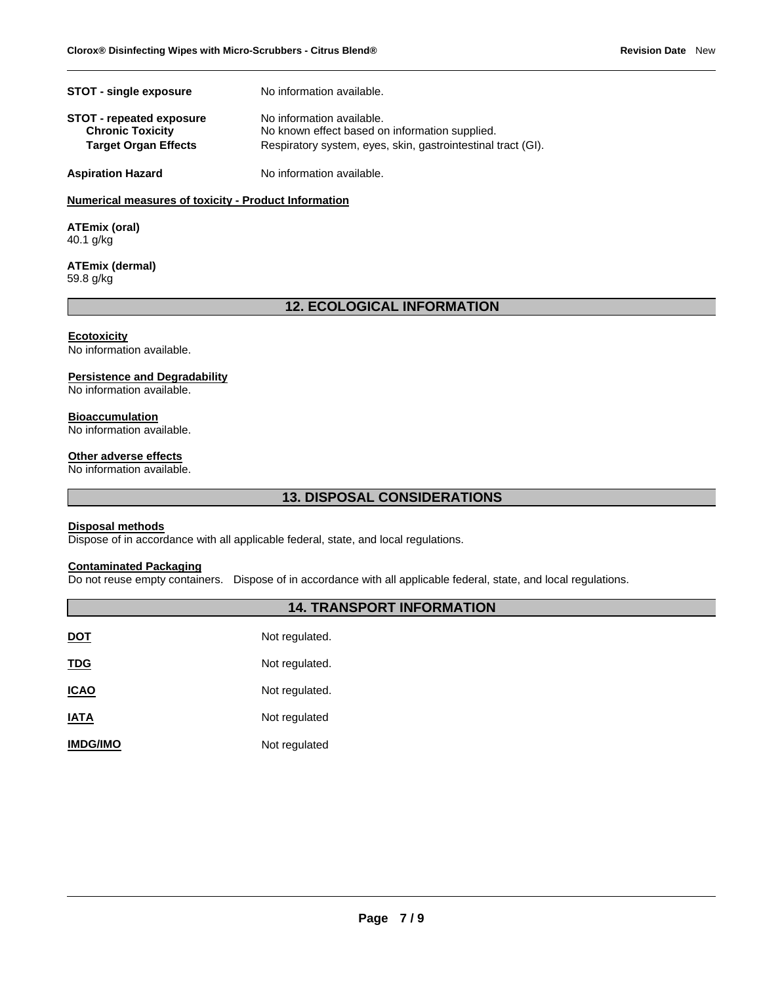| <b>STOT - single exposure</b>   | No information available.                                    |
|---------------------------------|--------------------------------------------------------------|
| <b>STOT</b> - repeated exposure | No information available.                                    |
| <b>Chronic Toxicity</b>         | No known effect based on information supplied.               |
| <b>Target Organ Effects</b>     | Respiratory system, eyes, skin, gastrointestinal tract (GI). |
| <b>Aspiration Hazard</b>        | No information available.                                    |

## **Numerical measures of toxicity - Product Information**

**ATEmix (oral)** 40.1 g/kg

#### **ATEmix (dermal)** 59.8 g/kg

# **12. ECOLOGICAL INFORMATION**

## **Ecotoxicity**

No information available.

## **Persistence and Degradability**

No information available.

## **Bioaccumulation**

No information available.

#### **Other adverse effects**

No information available.

# **13. DISPOSAL CONSIDERATIONS**

## **Disposal methods**

Dispose of in accordance with all applicable federal, state, and local regulations.

## **Contaminated Packaging**

Do not reuse empty containers. Dispose of in accordance with all applicable federal, state, and local regulations.

## **14. TRANSPORT INFORMATION**

| <u>DOT</u>      | Not regulated. |
|-----------------|----------------|
| <u>TDG</u>      | Not regulated. |
| <u>ICAO</u>     | Not regulated. |
| <b>IATA</b>     | Not regulated  |
| <b>IMDG/IMO</b> | Not regulated  |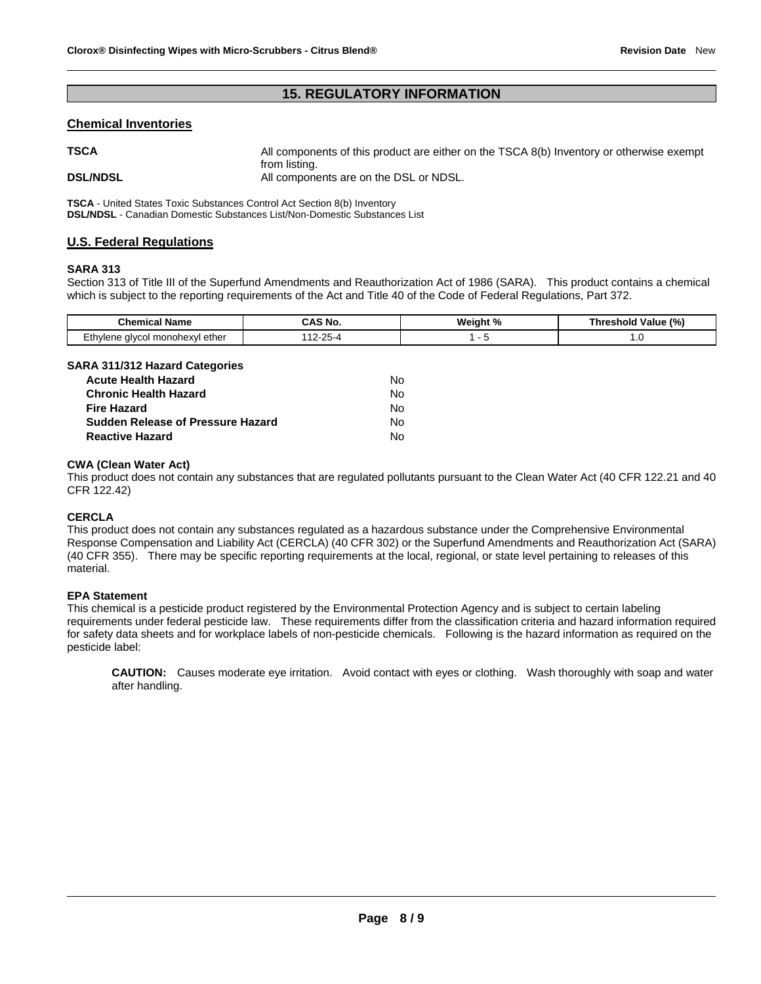# **15. REGULATORY INFORMATION**

### **Chemical Inventories**

| <b>TSCA</b>     | All components of this product are either on the TSCA 8(b) Inventory or otherwise exempt<br>from listing. |
|-----------------|-----------------------------------------------------------------------------------------------------------|
| <b>DSL/NDSL</b> | All components are on the DSL or NDSL.                                                                    |

**TSCA** - United States Toxic Substances Control Act Section 8(b) Inventory **DSL/NDSL** - Canadian Domestic Substances List/Non-Domestic Substances List

## **U.S. Federal Regulations**

#### **SARA 313**

Section 313 of Title III of the Superfund Amendments and Reauthorization Act of 1986 (SARA). This product contains a chemical which is subject to the reporting requirements of the Act and Title 40 of the Code of Federal Regulations, Part 372.

| Chemical                                     | <b>AS No.</b>  | Weight % | Value (%) |  |  |
|----------------------------------------------|----------------|----------|-----------|--|--|
| Name                                         |                | 70       | Threshold |  |  |
| -thvlene<br>ether<br>l monohexvl<br>alvcol . | <b>OE</b><br>` |          | <b></b>   |  |  |

# **SARA 311/312 Hazard Categories**

| <b>Acute Health Hazard</b>               | No. |
|------------------------------------------|-----|
| <b>Chronic Health Hazard</b>             | No. |
| <b>Fire Hazard</b>                       | No. |
| <b>Sudden Release of Pressure Hazard</b> | No. |
| <b>Reactive Hazard</b>                   | N٥. |

## **CWA (Clean Water Act)**

This product does not contain any substances that are regulated pollutants pursuant to the Clean Water Act (40 CFR 122.21 and 40 CFR 122.42)

## **CERCLA**

This product does not contain any substances regulated as a hazardous substance under the Comprehensive Environmental Response Compensation and Liability Act (CERCLA) (40 CFR 302) or the Superfund Amendments and Reauthorization Act (SARA) (40 CFR 355). There may be specific reporting requirements at the local, regional, or state level pertaining to releases of this material.

## **EPA Statement**

This chemical is a pesticide product registered by the Environmental Protection Agency and is subject to certain labeling requirements under federal pesticide law. These requirements differ from the classification criteria and hazard information required for safety data sheets and for workplace labels of non-pesticide chemicals. Following is the hazard information as required on the pesticide label:

**CAUTION:** Causes moderate eye irritation. Avoid contact with eyes or clothing. Wash thoroughly with soap and water after handling.